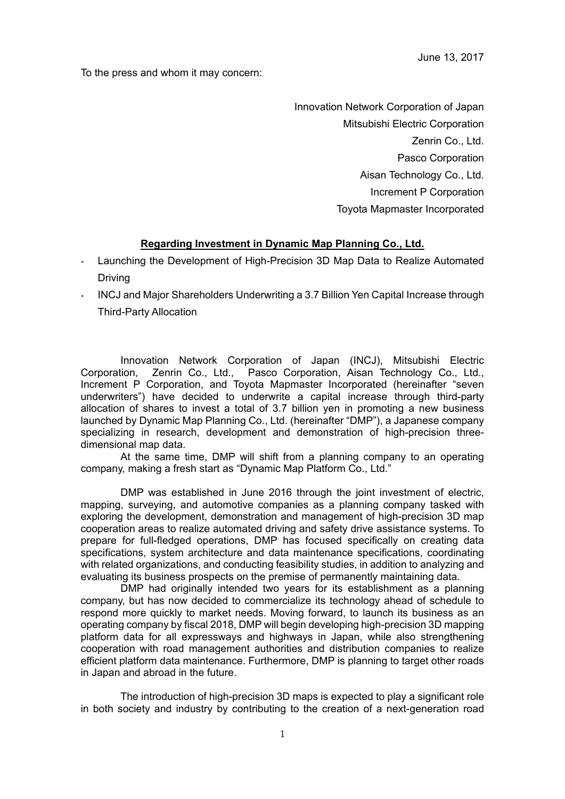To the press and whom it may concern:

Innovation Network Corporation of Japan Mitsubishi Electric Corporation Zenrin Co., Ltd. Pasco Corporation Aisan Technology Co., Ltd. Increment P Corporation Toyota Mapmaster Incorporated

## **Regarding Investment in Dynamic Map Planning Co., Ltd.**

- Launching the Development of High-Precision 3D Map Data to Realize Automated Driving
- INCJ and Major Shareholders Underwriting a 3.7 Billion Yen Capital Increase through Third-Party Allocation

Innovation Network Corporation of Japan (INCJ), Mitsubishi Electric Corporation, Zenrin Co., Ltd., Pasco Corporation, Aisan Technology Co., Ltd., Increment P Corporation, and Toyota Mapmaster Incorporated (hereinafter "seven underwriters") have decided to underwrite a capital increase through third-party allocation of shares to invest a total of 3.7 billion yen in promoting a new business launched by Dynamic Map Planning Co., Ltd. (hereinafter "DMP"), a Japanese company specializing in research, development and demonstration of high-precision threedimensional map data.

At the same time, DMP will shift from a planning company to an operating company, making a fresh start as "Dynamic Map Platform Co., Ltd."

DMP was established in June 2016 through the joint investment of electric. mapping, surveying, and automotive companies as a planning company tasked with exploring the development, demonstration and management of high-precision 3D map cooperation areas to realize automated driving and safety drive assistance systems. To prepare for full-fledged operations, DMP has focused specifically on creating data specifications, system architecture and data maintenance specifications, coordinating with related organizations, and conducting feasibility studies, in addition to analyzing and evaluating its business prospects on the premise of permanently maintaining data.

DMP had originally intended two years for its establishment as a planning company, but has now decided to commercialize its technology ahead of schedule to respond more quickly to market needs. Moving forward, to launch its business as an operating company by fiscal 2018, DMP will begin developing high-precision 3D mapping platform data for all expressways and highways in Japan, while also strengthening cooperation with road management authorities and distribution companies to realize efficient platform data maintenance. Furthermore, DMP is planning to target other roads in Japan and abroad in the future.

The introduction of high-precision 3D maps is expected to play a significant role in both society and industry by contributing to the creation of a next-generation road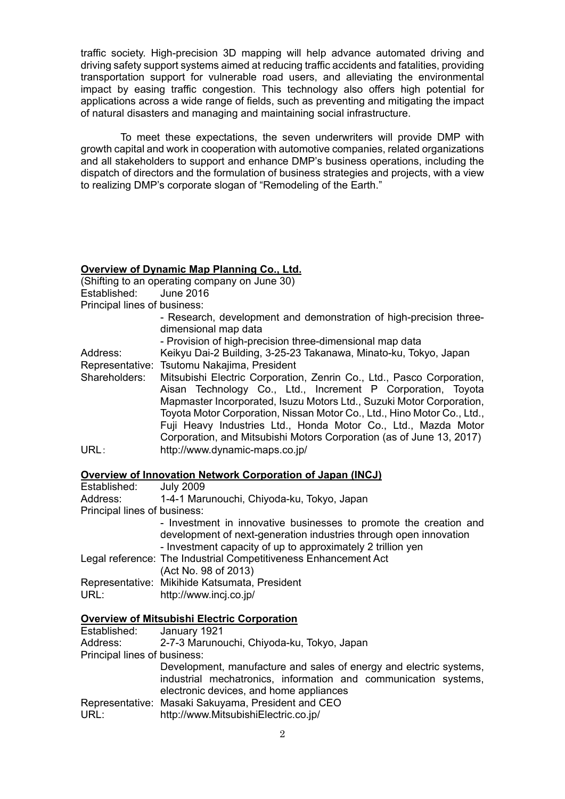traffic society. High-precision 3D mapping will help advance automated driving and driving safety support systems aimed at reducing traffic accidents and fatalities, providing transportation support for vulnerable road users, and alleviating the environmental impact by easing traffic congestion. This technology also offers high potential for applications across a wide range of fields, such as preventing and mitigating the impact of natural disasters and managing and maintaining social infrastructure.

To meet these expectations, the seven underwriters will provide DMP with growth capital and work in cooperation with automotive companies, related organizations and all stakeholders to support and enhance DMP's business operations, including the dispatch of directors and the formulation of business strategies and projects, with a view to realizing DMP's corporate slogan of "Remodeling of the Earth."

## **Overview of Dynamic Map Planning Co., Ltd.**

(Shifting to an operating company on June 30) Established: June 2016 Principal lines of business:

- Research, development and demonstration of high-precision threedimensional map data
- Provision of high-precision three-dimensional map data

Address: Keikyu Dai-2 Building, 3-25-23 Takanawa, Minato-ku, Tokyo, Japan Representative: Tsutomu Nakajima, President

Shareholders: Mitsubishi Electric Corporation, Zenrin Co., Ltd., Pasco Corporation, Aisan Technology Co., Ltd., Increment P Corporation, Toyota Mapmaster Incorporated, Isuzu Motors Ltd., Suzuki Motor Corporation, Toyota Motor Corporation, Nissan Motor Co., Ltd., Hino Motor Co., Ltd., Fuji Heavy Industries Ltd., Honda Motor Co., Ltd., Mazda Motor Corporation, and Mitsubishi Motors Corporation (as of June 13, 2017) URL: http://www.dynamic-maps.co.jp/

## **Overview of Innovation Network Corporation of Japan (INCJ)**

| Established:                 | <b>July 2009</b>                                                                                                                                                                                      |
|------------------------------|-------------------------------------------------------------------------------------------------------------------------------------------------------------------------------------------------------|
| Address:                     | 1-4-1 Marunouchi, Chiyoda-ku, Tokyo, Japan                                                                                                                                                            |
| Principal lines of business: |                                                                                                                                                                                                       |
|                              | - Investment in innovative businesses to promote the creation and<br>development of next-generation industries through open innovation<br>- Investment capacity of up to approximately 2 trillion yen |
|                              | Legal reference: The Industrial Competitiveness Enhancement Act<br>(Act No. 98 of 2013)                                                                                                               |
| URL:                         | Representative: Mikihide Katsumata, President<br>http://www.incj.co.jp/                                                                                                                               |

## **Overview of Mitsubishi Electric Corporation**

| Established:                 | January 1921                                                       |
|------------------------------|--------------------------------------------------------------------|
| Address:                     | 2-7-3 Marunouchi, Chiyoda-ku, Tokyo, Japan                         |
| Principal lines of business: |                                                                    |
|                              | Development, manufacture and sales of energy and electric systems, |
|                              | industrial mechatronics, information and communication systems,    |
|                              | electronic devices, and home appliances                            |
|                              | Representative: Masaki Sakuyama, President and CEO                 |
| URL:                         | http://www.MitsubishiElectric.co.jp/                               |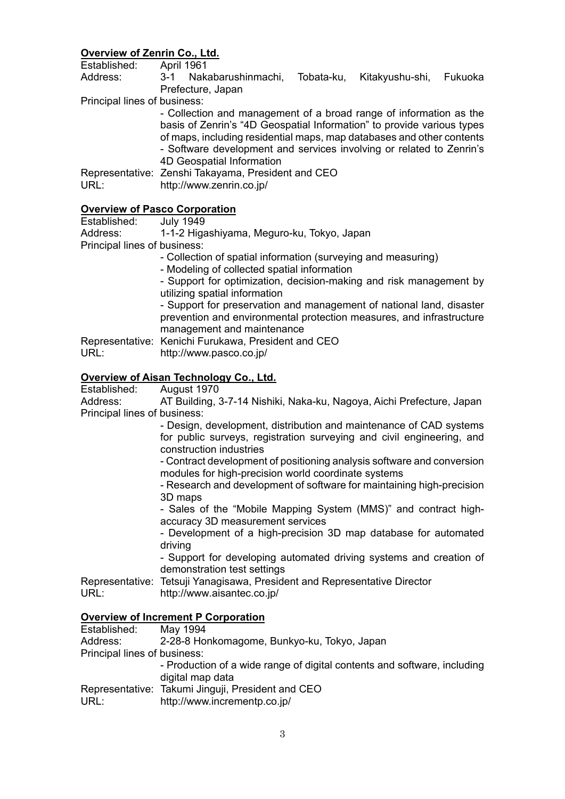## **Overview of Zenrin Co., Ltd.**

Established: April 1961

Address: 3-1 Nakabarushinmachi, Tobata-ku, Kitakyushu-shi, Fukuoka Prefecture, Japan

Principal lines of business:

- Collection and management of a broad range of information as the basis of Zenrin's "4D Geospatial Information" to provide various types of maps, including residential maps, map databases and other contents - Software development and services involving or related to Zenrin's 4D Geospatial Information

Representative: Zenshi Takayama, President and CEO URL: http://www.zenrin.co.jp/

## **Overview of Pasco Corporation**

Established: July 1949

Address: 1-1-2 Higashiyama, Meguro-ku, Tokyo, Japan

Principal lines of business:

- Collection of spatial information (surveying and measuring)
- Modeling of collected spatial information
- Support for optimization, decision-making and risk management by utilizing spatial information

- Support for preservation and management of national land, disaster prevention and environmental protection measures, and infrastructure management and maintenance

Representative: Kenichi Furukawa, President and CEO URL: http://www.pasco.co.jp/

# **Overview of Aisan Technology Co., Ltd.**<br>Established: August 1970

August 1970

Address: AT Building, 3-7-14 Nishiki, Naka-ku, Nagoya, Aichi Prefecture, Japan Principal lines of business:

- Design, development, distribution and maintenance of CAD systems for public surveys, registration surveying and civil engineering, and construction industries

- Contract development of positioning analysis software and conversion modules for high-precision world coordinate systems

- Research and development of software for maintaining high-precision 3D maps

- Sales of the "Mobile Mapping System (MMS)" and contract highaccuracy 3D measurement services

- Development of a high-precision 3D map database for automated driving

- Support for developing automated driving systems and creation of demonstration test settings

Representative: Tetsuji Yanagisawa, President and Representative Director

URL: http://www.aisantec.co.jp/

## **Overview of Increment P Corporation**

| Established:                 | May 1994                                                                 |
|------------------------------|--------------------------------------------------------------------------|
| Address:                     | 2-28-8 Honkomagome, Bunkyo-ku, Tokyo, Japan                              |
| Principal lines of business: |                                                                          |
|                              | - Production of a wide range of digital contents and software, including |
|                              | digital map data                                                         |
|                              | Representative: Takumi Jinguji, President and CEO                        |
| URL:                         | http://www.incrementp.co.jp/                                             |